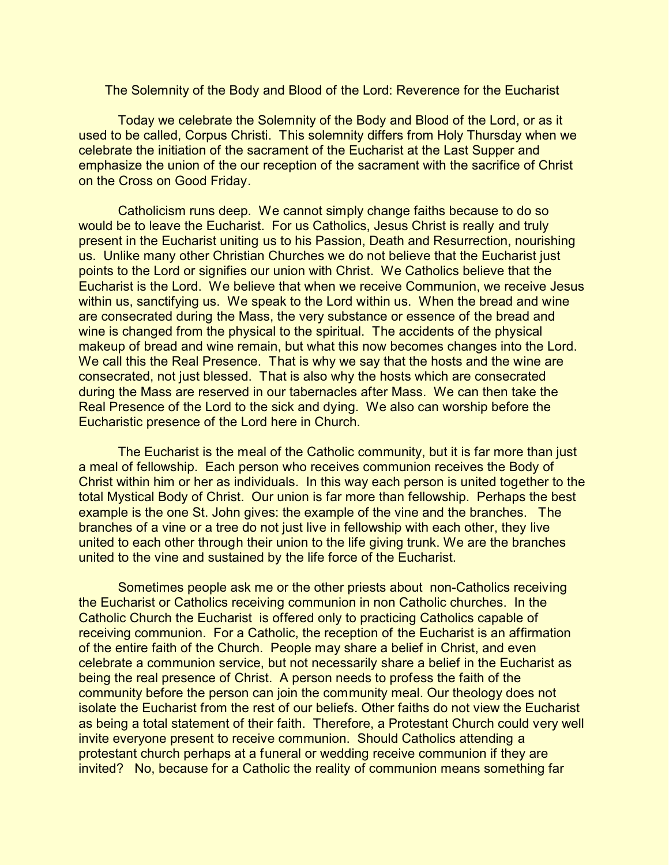The Solemnity of the Body and Blood of the Lord: Reverence for the Eucharist

Today we celebrate the Solemnity of the Body and Blood of the Lord, or as it used to be called, Corpus Christi. This solemnity differs from Holy Thursday when we celebrate the initiation of the sacrament of the Eucharist at the Last Supper and emphasize the union of the our reception of the sacrament with the sacrifice of Christ on the Cross on Good Friday.

Catholicism runs deep. We cannot simply change faiths because to do so would be to leave the Eucharist. For us Catholics, Jesus Christ is really and truly present in the Eucharist uniting us to his Passion, Death and Resurrection, nourishing us. Unlike many other Christian Churches we do not believe that the Eucharist just points to the Lord or signifies our union with Christ. We Catholics believe that the Eucharist is the Lord. We believe that when we receive Communion, we receive Jesus within us, sanctifying us. We speak to the Lord within us. When the bread and wine are consecrated during the Mass, the very substance or essence of the bread and wine is changed from the physical to the spiritual. The accidents of the physical makeup of bread and wine remain, but what this now becomes changes into the Lord. We call this the Real Presence. That is why we say that the hosts and the wine are consecrated, not just blessed. That is also why the hosts which are consecrated during the Mass are reserved in our tabernacles after Mass. We can then take the Real Presence of the Lord to the sick and dying. We also can worship before the Eucharistic presence of the Lord here in Church.

The Eucharist is the meal of the Catholic community, but it is far more than just a meal of fellowship. Each person who receives communion receives the Body of Christ within him or her as individuals. In this way each person is united together to the total Mystical Body of Christ. Our union is far more than fellowship. Perhaps the best example is the one St. John gives: the example of the vine and the branches. The branches of a vine or a tree do not just live in fellowship with each other, they live united to each other through their union to the life giving trunk. We are the branches united to the vine and sustained by the life force of the Eucharist.

Sometimes people ask me or the other priests about non-Catholics receiving the Eucharist or Catholics receiving communion in non Catholic churches. In the Catholic Church the Eucharist is offered only to practicing Catholics capable of receiving communion. For a Catholic, the reception of the Eucharist is an affirmation of the entire faith of the Church. People may share a belief in Christ, and even celebrate a communion service, but not necessarily share a belief in the Eucharist as being the real presence of Christ. A person needs to profess the faith of the community before the person can join the community meal. Our theology does not isolate the Eucharist from the rest of our beliefs. Other faiths do not view the Eucharist as being a total statement of their faith. Therefore, a Protestant Church could very well invite everyone present to receive communion. Should Catholics attending a protestant church perhaps at a funeral or wedding receive communion if they are invited? No, because for a Catholic the reality of communion means something far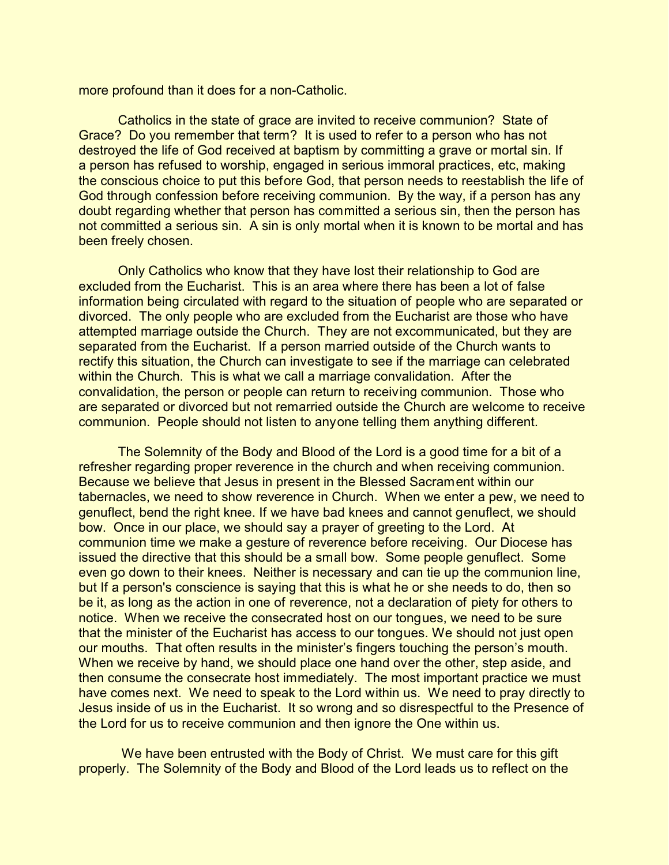more profound than it does for a non-Catholic.

Catholics in the state of grace are invited to receive communion? State of Grace? Do you remember that term? It is used to refer to a person who has not destroyed the life of God received at baptism by committing a grave or mortal sin. If a person has refused to worship, engaged in serious immoral practices, etc, making the conscious choice to put this before God, that person needs to reestablish the life of God through confession before receiving communion. By the way, if a person has any doubt regarding whether that person has committed a serious sin, then the person has not committed a serious sin. A sin is only mortal when it is known to be mortal and has been freely chosen.

Only Catholics who know that they have lost their relationship to God are excluded from the Eucharist. This is an area where there has been a lot of false information being circulated with regard to the situation of people who are separated or divorced. The only people who are excluded from the Eucharist are those who have attempted marriage outside the Church. They are not excommunicated, but they are separated from the Eucharist. If a person married outside of the Church wants to rectify this situation, the Church can investigate to see if the marriage can celebrated within the Church. This is what we call a marriage convalidation. After the convalidation, the person or people can return to receiving communion. Those who are separated or divorced but not remarried outside the Church are welcome to receive communion. People should not listen to anyone telling them anything different.

The Solemnity of the Body and Blood of the Lord is a good time for a bit of a refresher regarding proper reverence in the church and when receiving communion. Because we believe that Jesus in present in the Blessed Sacrament within our tabernacles, we need to show reverence in Church. When we enter a pew, we need to genuflect, bend the right knee. If we have bad knees and cannot genuflect, we should bow. Once in our place, we should say a prayer of greeting to the Lord. At communion time we make a gesture of reverence before receiving. Our Diocese has issued the directive that this should be a small bow. Some people genuflect. Some even go down to their knees. Neither is necessary and can tie up the communion line, but If a person's conscience is saying that this is what he or she needs to do, then so be it, as long as the action in one of reverence, not a declaration of piety for others to notice. When we receive the consecrated host on our tongues, we need to be sure that the minister of the Eucharist has access to our tongues. We should not just open our mouths. That often results in the minister's fingers touching the person's mouth. When we receive by hand, we should place one hand over the other, step aside, and then consume the consecrate host immediately. The most important practice we must have comes next. We need to speak to the Lord within us. We need to pray directly to Jesus inside of us in the Eucharist. It so wrong and so disrespectful to the Presence of the Lord for us to receive communion and then ignore the One within us.

We have been entrusted with the Body of Christ. We must care for this gift properly. The Solemnity of the Body and Blood of the Lord leads us to reflect on the